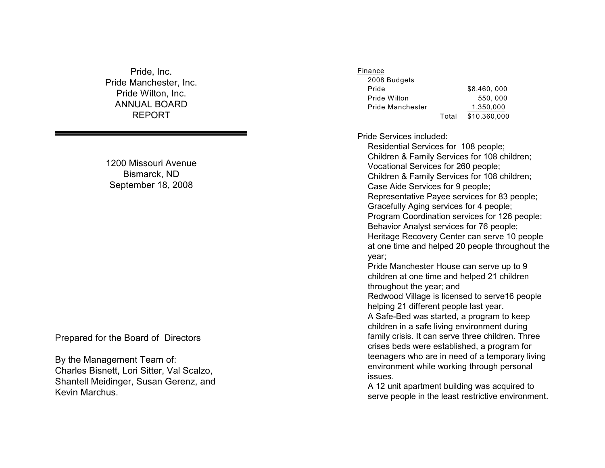Pride, Inc. Pride Manchester, Inc. Pride Wilton, Inc. ANNUAL BOARD REPORT

1200 Missouri Avenue Bismarck, ND September 18, 2008

Prepared for the Board of Directors

By the Management Team of: Charles Bisnett, Lori Sitter, Val Scal zo, Shantell Meidinger, Susan Gerenz, and Kevin Marchus.

#### Finance

| 2008 Budgets     |       |              |
|------------------|-------|--------------|
| Pride            |       | \$8.460,000  |
| Pride Wilton     |       | 550,000      |
| Pride Manchester |       | 1,350,000    |
|                  | Total | \$10.360.000 |

Pride Services included:

Residential Services for 108 people; Children & Family Services for 108 children; Vocational Services for 260 people; Children & Family Services for 108 children; Case Aide Services for 9 people; Representative Payee services for 83 people ; Gracefully Aging services for 4 people; Program Coordination services for 126 people; Behavior Anal yst services for 76 people ; Heritage Recovery Center can serve 10 people at one time and helped 20 people throughout th e y e ar; Pride Manchester House can serve up to 9 children at one time and helped 21 children throughout the year; and Redwood Village is licensed to serve16 people helping 21 different people last year. A Sa fe-Bed was started, a program to keep children in a safe living environment durin g family crisis. It can serve three children. Three crises beds were established, a program for teenagers who are in need of a temporary livin g environment while working through personal issues.

A 12 unit apartment building was acquired to serve people in the least restrictive environment.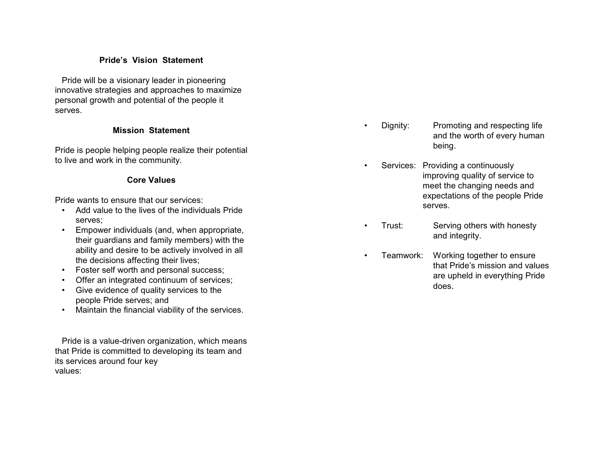# **Pride's Vision Statemen t**

Pride will be a visionary leader in pioneerin g innova tive s t rategies and app roaches to maximize personal growth and potential of the people it serves.

# **Mission Statemen t**

Pride is people helping people realize their potential to live and work in the community.

# **Core Values**

Pride wants to ensure that our services:

- Add value to the lives of the indi viduals Prid e serves;
- Empo wer indi viduals (and, when appropriate, their guardians and famil y members) with the ability and desire to be actively involved in all the decisions affecting their li ves;
- Foster sel f worth and personal success;
- Offer an integrated continuum of services;
- Give evidence of quality services to the people Pride serves; and
- Maintain the financial viability of the services.

Pride is a value-driven organi zation, which mean s that Pride is committed to developing its team and its services around four key values :

- Dignity: Promoting and respecting life and the worth of every human being.
- Services: Providing a continuously improving quality of service t o meet the changing needs and expectations of the people Prid e serves.
- Trust: Serving others with honesty and in teg rity.
- Teamw ork: W orki ng toget h er to e nsure that Pride's mission and values are upheld in e verything Pride doe s .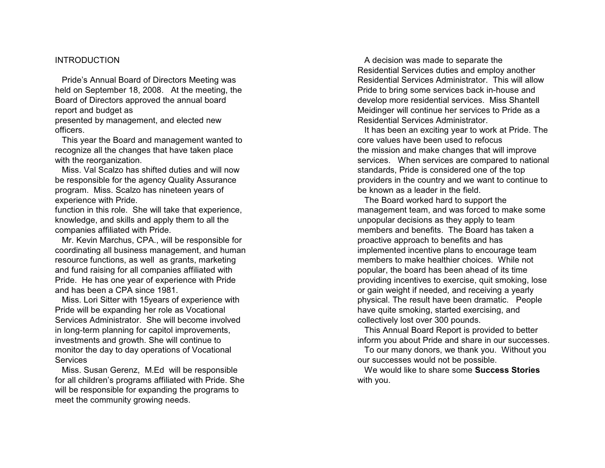### INTRODUCTION

Pride's Annual Board of Directors Meeting was held on September 18, 2008. At the meeting, the Board of Directors approved the annual board report and budget as

presented b y management, and elected new officers.

This year the Board and management wanted to recognize all the changes that have taken place with the reorganization.<br>Miss. Val Scalzo has shifted duties and will now

be responsible for the agency Quality Assurance program. Miss. Scal zo has nineteen years of experience with Pride.

function in this role. She will take that experience, knowledge, and skills and appl y them to all the companies affiliated with Pride.

Mr. Kevin Marchus, CPA., will be responsible for coordinating all business management, and human resource functions, as well as grants, marketing and fund raising for all companies affiliated with Pride. He has one year of experience with Prid e and has been a CPA since 1981.

Miss. Lori Sitter with 15years of experience with Pride will be expanding her role as Vocational Services Administrator. She will become involved in long-term planning for capitol improvements, investments and growth. She will continue to monitor the day to day operations of Vocational Services<br>Miss. Susan Gerenz, M.Ed will be responsible

for all children's programs affiliated with Pride. She will be responsible for expanding the programs to meet the community growing needs.

A decision was made to separate the Residential Services duties and employ another Residential Services Administrator. This will allo w Pride to bring some services back in-house and develop more residential services. Miss Shantell Meidinger will continue her services to Pride as a Residential Services Administrator.

It has been an exciting year to work at Pride. The core values ha ve been used to re focus the mission and make changes that will improve services. When services are compared to national standards, Pride is considered one o f the top providers in the country and we want to continue to be known as a leader in the field.

The Board worked hard to support th e management team, and was forced to make some unpopular decisions as the y appl y to team members and benefits. The Board has taken a proacti ve approach to benefits and has implemented incenti ve plans to encourage team members to make healthier choices. While no t p o p ular, t h e b o ard h as b e e n a h e a d of its time providing incentives to e xercise, quit smoking, lose or gain weight if needed, and receiving a yearly physical. The result have been dramatic. People have quite smoking, started exercising, an d collecti vel y lost over 300 pounds.

This Annual Board Report is provided to better inform you about Pride and share in our success es.

To our man y donors, we thank you. Without you our successes would not be possible.

We would like to share some **Success Stories** with you.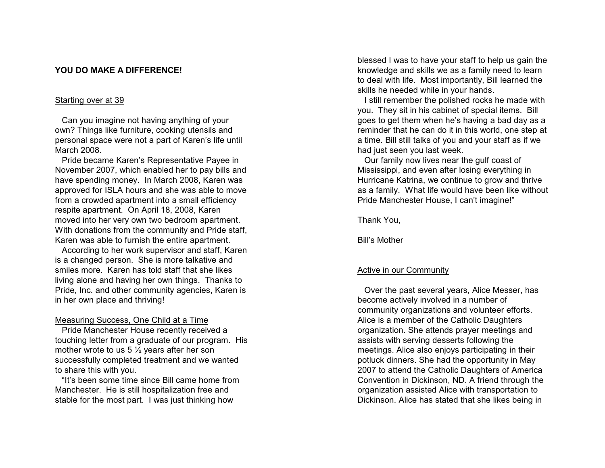## **YOU DO MAKE A DIFFERENCE!**

## Starting over at 39

Can you imagine not ha ving anything of your own? Things like furniture, cooking utensils an d personal space were not a part of Karen's life until March 2008.

Pride became Karen's Representative Payee in No vember 2007, which enabled her to pay bills and have spending mone y. In March 2008, Karen was approved for ISLA hours and she was able to move from a cro wded apartment into a small efficiency respite apartment. On April 18, 2008, Karen moved into her very own two bedroom apartment. With donations from the community and Pride staff, Karen was able to furnish the entire apartment.

According to her work supervisor and staff, Karen is a changed person. She is more talkative and smiles more. Karen has told staff that she likes living alone and having her own things. Thanks to Pride, Inc. and other community agencies, Karen is in her own place and thriving!

## Measuring Success, One Child at a Time

Pride Manchester House recently recei ved a touching letter from a graduate of our program. His mother wrote to us 5 ½ years after her son successfull y completed treatment and we wante d to share this with you.

"It's been some time since Bill came home from Manchester. He is still hospitalization free and stable for the most part. I was just thinking ho w

blessed I was to have your staff to help us gain th e knowledge and skills we as a family need to learn to deal with life. Most importantly, Bill learned th e skills he needed while in your hands.

I still remember the polished rocks he made with you. They sit in his cabinet of special items. Bill goes to get them when he's ha ving a bad day as a reminder that he can do it in this world, one step at a time. Bill still talks of you and your staff as if we had just seen you last week.

Our famil y no w lives near the gul f coast of Mississippi, and even after losing everything in Hurricane Katrina, we continue to grow and thrive as a famil y. What li fe would have been like without Pride Manchester House, I can't imagine!"

Thank You,

Bill's Mothe r

## Active in our Community

Over the past several years, Alice Messer, has become acti vel y invol ved in a number o f community organizations and volunteer e fforts. Alice is a member of the Catholic Daughters organi zation. She attends prayer meetings an d assists with serving desserts follo wing the meetings. Alice also enjoys participating in their potluck dinners. She had the opportunity in May 2007 to attend the Catholic Daughters of America Convention in Dickinson, ND. A friend through the organization assisted Alice with transportation to Dickinson. Alice has stated that she li kes being in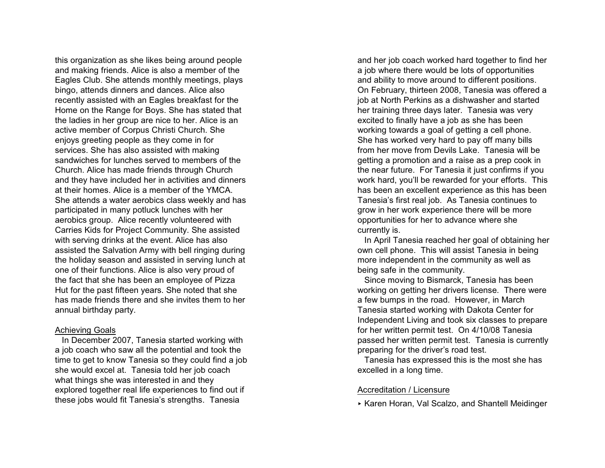this or ganization as she likes being around people and making friends. Alice is also a member of the Ea gles Club . She at tends mon thly mee tings, plays bingo, attends dinners and dances. Alice als o recentl y assisted with an Eagles breakfast for th e Home on the Range for Boys. She has stated that the ladies in her group are nice to her. Alice is an acti ve member of Corpus Christi Church. She enjo ys greeting people as they come in for services. She has also assisted with makin g sandwiches for lunches served to members of the Church. Alice has made friends through Churc h and they have included her in activities and dinners at their homes. Alice is a member of the YMCA. She attends a water aerobics class weekly and has participated in many potluck lunches with he r aerobics group. Alice recently volunteered with Carries Kids for Project Community. She assisted with serving drinks at the event. Alice has also assisted the Salvation Army with bell ringing during the holiday season and assisted in serving lunch at one of their functions. Alice is also very proud of the fac t that she has been an employee of Pizza Hut for the past fifteen years. She noted that she has made friends there and she invites them to he r annual birthday party.

#### Achieving Goals

In December 2007, Tanesia started working with a job coach who saw all the potential and took the time to get to know Tanesia so they could find a job she would e xcel at. Tanesia told her job coach what things she was interested in and they explored together real life experiences to find out if these jobs would fit Tanesia's strengths. Tanesia

and her job coach worked hard together to find her a job where there would be lots of opportunities and ability to move around to different positions. On February, thirteen 2008, Tanesia was offered a job at North Perkins as a dishwasher and starte d her training three days later. Tanesia was very excited to finally ha ve a job as she has bee n working towards a goal of getting a cell phone. She has worked very hard to pay off many bills from her move from Devils Lake. Tanesia will be getting a promotion and a raise as a prep cook in the near future. For Tanesia it just con firms if you work hard, you'll be rewarded for your efforts. This has been an excellent e xperience as this has been Tanesia's first real job. As Tanesia continues to grow in her work experience there will be more opportunities for her to ad vance where sh e currently is.

In April Tanesia reached her goal of obtaining he r own cell phone. This will assist Tanesia in being more independent in the community as well as being safe in the community.

Since moving to Bismarck, Tanesia has bee n working on getting her drivers license. There were a few bumps in the road. However, in March Tanesia started working with Dakota Center for Independent Living and took six classes to prepare for her written permit test. On 4/10/08 Tanesia passed her written permit test. Tanesia is currently preparing for the driver's road test.

Tanesia has expressed this is the most she has excelled in a long time.

## Accreditation / Licensure

< Karen Horan, Val Scalzo, and Shantell Meidinger